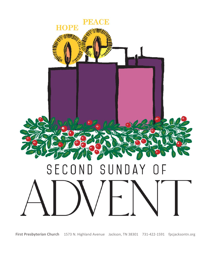

*#Latecomers may be seated \*Congregation standing, if able* **First Presbyterian Church** 1573 N. Highland AvenueJackson, TN 38301731-422-1591fpcjacksontn.org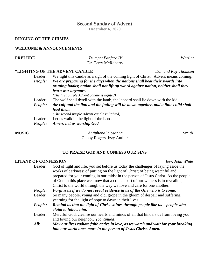## **Second Sunday of Advent**

**December 6, 2020**

### **RINGING OF THE CHIMES**

#### **WELCOME & ANNOUNCEMENTS**

*People: Amen. Let us worship God.*

| <b>PRELUDE</b> | Trumpet Fanfare IV                                                                     | Wetzler             |  |  |
|----------------|----------------------------------------------------------------------------------------|---------------------|--|--|
|                | Dr. Terry McRoberts                                                                    |                     |  |  |
|                | *LIGHTING OF THE ADVENT CANDLE                                                         | Don and Kay Thomson |  |  |
| Leader:        | We light this candle as a sign of the coming light of Christ. Advent means coming.     |                     |  |  |
| People:        | We are preparing for the days when the nations shall beat their swords into            |                     |  |  |
|                | pruning hooks; nation shall not lift up sword against nation, neither shall they       |                     |  |  |
|                | learn war anymore.                                                                     |                     |  |  |
|                | (The first purple Advent candle is lighted)                                            |                     |  |  |
| Leader:        | The wolf shall dwell with the lamb, the leopard shall lie down with the kid,           |                     |  |  |
| People:        | the calf and the lion and the fatling will lie down together, and a little child shall |                     |  |  |
|                | lead them.                                                                             |                     |  |  |
|                | (The second purple Advent candle is lighted)                                           |                     |  |  |
| Leader:        | Let us walk in the light of the Lord.                                                  |                     |  |  |

**MUSIC** *Antiphonal Hosanna* Smith Gabby Rogers, Izzy Authurs

#### **TO PRAISE GOD AND CONFESS OUR SINS**

# Leader:  $C \circ d \circ f$  light and life,

| <b>LITANY OF CONFESSION</b> | Rev. John White                                                                                                                                                                                                                                                                                                                                                                                                    |
|-----------------------------|--------------------------------------------------------------------------------------------------------------------------------------------------------------------------------------------------------------------------------------------------------------------------------------------------------------------------------------------------------------------------------------------------------------------|
| Leader:                     | God of light and life, you set before us today the challenges of laying aside the<br>works of darkness; of putting on the light of Christ; of being watchful and<br>prepared for your coming in our midst in the person of Jesus Christ. As the people<br>of God in this place we know that a crucial part of our witness is in revealing<br>Christ to the world through the way we love and care for one another. |
| People:                     | Forgive us if we do not reveal evidence in us of the One who is to come.                                                                                                                                                                                                                                                                                                                                           |
| Leader:                     | So many people, young and old, grope in the gloom of despair and suffering,<br>yearning for the light of hope to dawn in their lives.                                                                                                                                                                                                                                                                              |
| People:                     | Remind us that the light of Christ shines through people like $us$ – people who<br>claim to follow him.                                                                                                                                                                                                                                                                                                            |
| Leader:                     | Merciful God, cleanse our hearts and minds of all that hinders us from loving you<br>and loving our neighbor. <i>(continued)</i>                                                                                                                                                                                                                                                                                   |
| All:                        | May our lives radiate faith active in love, as we watch and wait for your breaking<br>into our world once more in the person of Jesus Christ. Amen.                                                                                                                                                                                                                                                                |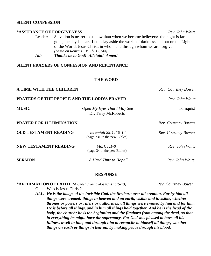#### **SILENT CONFESSION**

#### **\*ASSURANCE OF FORGIVENESS** *Rev. John White*

Leader: Salvation is nearer to us now than when we became believers: the night is far gone, the day is near. Let us lay aside the works of darkness and put on the Light of the World, Jesus Christ, in whom and through whom we are forgiven. *(based on Romans 13:11b, 12,14a)*

*All: Thanks be to God! Alleluia! Amen!*

#### **SILENT PRAYERS OF CONFESSION AND REPENTANCE**

#### **THE WORD**

| A TIME WITH THE CHILDREN                           | Rev. Courtney Bowen<br>Rev. John White               |                     |
|----------------------------------------------------|------------------------------------------------------|---------------------|
| <b>PRAYERS OF THE PEOPLE AND THE LORD'S PRAYER</b> |                                                      |                     |
| <b>MUSIC</b>                                       | Open My Eyes That I May See<br>Dr. Terry McRoberts   | Tornquist           |
| <b>PRAYER FOR ILLUMINATION</b>                     |                                                      | Rev. Courtney Bowen |
| <b>OLD TESTAMENT READING</b>                       | Jeremiah 29:1, 10-14<br>(page 731 in the pew Bibles) | Rev. Courtney Bowen |
| <b>NEW TESTAMENT READING</b>                       | Mark $1:1-8$<br>(page 34 in the pew Bibles)          | Rev. John White     |
| <b>SERMON</b>                                      | "A Hard Time to Hope"                                | Rev. John White     |

#### **RESPONSE**

#### **\*AFFIRMATION OF FAITH** *(A Creed from Colossians 1:15-23) Rev. Courtney Bowen*

One: Who is Jesus Christ?

*ALL: He is the image of the invisible God, the firstborn over all creation. For by him all things were created: things in heaven and on earth, visible and invisible, whether thrones or powers or rulers or authorities; all things were created by him and for him. He is before all things, and in him all things hold together. And he is the head of the body, the church; he is the beginning and the firstborn from among the dead, so that in everything he might have the supremacy. For God was pleased to have all his fullness dwell in him, and through him to reconcile to himself all things, whether things on earth or things in heaven, by making peace through his blood,*